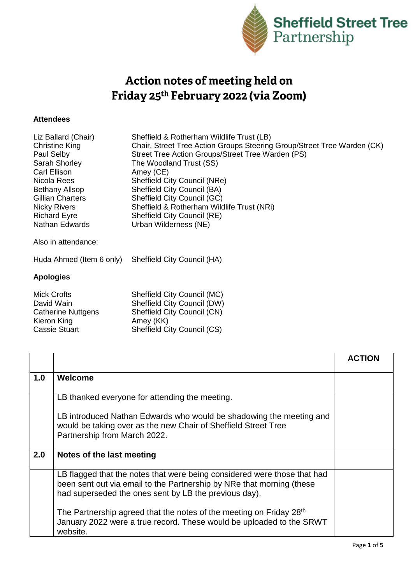

## Action notes of meeting held on Friday 25<sup>th</sup> February 2022 (via Zoom)

## **Attendees**

| Liz Ballard (Chair)                             | Sheffield & Rotherham Wildlife Trust (LB)                               |
|-------------------------------------------------|-------------------------------------------------------------------------|
| <b>Christine King</b>                           | Chair, Street Tree Action Groups Steering Group/Street Tree Warden (CK) |
| Paul Selby                                      | Street Tree Action Groups/Street Tree Warden (PS)                       |
| Sarah Shorley                                   | The Woodland Trust (SS)                                                 |
| Carl Ellison                                    | Amey (CE)                                                               |
| Nicola Rees                                     | Sheffield City Council (NRe)                                            |
| <b>Bethany Allsop</b>                           | Sheffield City Council (BA)                                             |
| <b>Gillian Charters</b>                         | Sheffield City Council (GC)                                             |
| <b>Nicky Rivers</b>                             | Sheffield & Rotherham Wildlife Trust (NRi)                              |
| <b>Richard Eyre</b>                             | Sheffield City Council (RE)                                             |
| <b>Nathan Edwards</b>                           | Urban Wilderness (NE)                                                   |
| Also in attendance:<br>Huda Ahmed (Item 6 only) | Sheffield City Council (HA)                                             |

## **Apologies**

| <b>Mick Crofts</b>        | Sheffield City Council (MC)        |
|---------------------------|------------------------------------|
| David Wain                | Sheffield City Council (DW)        |
| <b>Catherine Nuttgens</b> | Sheffield City Council (CN)        |
| Kieron King               | Amey (KK)                          |
| <b>Cassie Stuart</b>      | <b>Sheffield City Council (CS)</b> |
|                           |                                    |

|     |                                                                                                                                                                                                            | <b>ACTION</b> |
|-----|------------------------------------------------------------------------------------------------------------------------------------------------------------------------------------------------------------|---------------|
| 1.0 | Welcome                                                                                                                                                                                                    |               |
|     | LB thanked everyone for attending the meeting.                                                                                                                                                             |               |
|     | LB introduced Nathan Edwards who would be shadowing the meeting and<br>would be taking over as the new Chair of Sheffield Street Tree<br>Partnership from March 2022.                                      |               |
| 2.0 | Notes of the last meeting                                                                                                                                                                                  |               |
|     | LB flagged that the notes that were being considered were those that had<br>been sent out via email to the Partnership by NRe that morning (these<br>had superseded the ones sent by LB the previous day). |               |
|     | The Partnership agreed that the notes of the meeting on Friday 28 <sup>th</sup><br>January 2022 were a true record. These would be uploaded to the SRWT<br>website.                                        |               |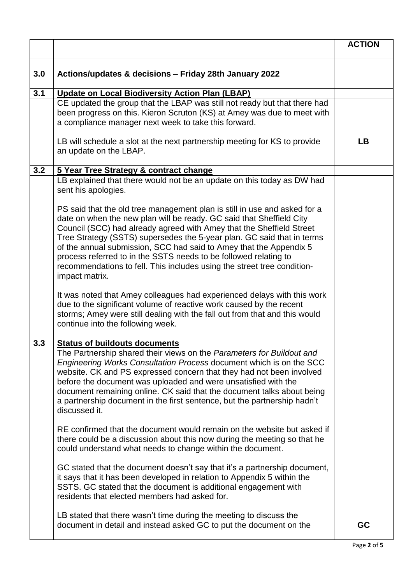|     |                                                                                                                                                                                                                                                                                                                                                                                                                                                                                                                                            | <b>ACTION</b> |
|-----|--------------------------------------------------------------------------------------------------------------------------------------------------------------------------------------------------------------------------------------------------------------------------------------------------------------------------------------------------------------------------------------------------------------------------------------------------------------------------------------------------------------------------------------------|---------------|
|     |                                                                                                                                                                                                                                                                                                                                                                                                                                                                                                                                            |               |
| 3.0 | Actions/updates & decisions - Friday 28th January 2022                                                                                                                                                                                                                                                                                                                                                                                                                                                                                     |               |
| 3.1 | <b>Update on Local Biodiversity Action Plan (LBAP)</b>                                                                                                                                                                                                                                                                                                                                                                                                                                                                                     |               |
|     | CE updated the group that the LBAP was still not ready but that there had<br>been progress on this. Kieron Scruton (KS) at Amey was due to meet with<br>a compliance manager next week to take this forward.                                                                                                                                                                                                                                                                                                                               |               |
|     | LB will schedule a slot at the next partnership meeting for KS to provide<br>an update on the LBAP.                                                                                                                                                                                                                                                                                                                                                                                                                                        | LB            |
| 3.2 | 5 Year Tree Strategy & contract change                                                                                                                                                                                                                                                                                                                                                                                                                                                                                                     |               |
|     | LB explained that there would not be an update on this today as DW had<br>sent his apologies.                                                                                                                                                                                                                                                                                                                                                                                                                                              |               |
|     | PS said that the old tree management plan is still in use and asked for a<br>date on when the new plan will be ready. GC said that Sheffield City<br>Council (SCC) had already agreed with Amey that the Sheffield Street<br>Tree Strategy (SSTS) supersedes the 5-year plan. GC said that in terms<br>of the annual submission, SCC had said to Amey that the Appendix 5<br>process referred to in the SSTS needs to be followed relating to<br>recommendations to fell. This includes using the street tree condition-<br>impact matrix. |               |
|     | It was noted that Amey colleagues had experienced delays with this work<br>due to the significant volume of reactive work caused by the recent<br>storms; Amey were still dealing with the fall out from that and this would<br>continue into the following week.                                                                                                                                                                                                                                                                          |               |
| 3.3 | <b>Status of buildouts documents</b>                                                                                                                                                                                                                                                                                                                                                                                                                                                                                                       |               |
|     | The Partnership shared their views on the Parameters for Buildout and<br><i>Engineering Works Consultation Process document which is on the SCC</i><br>website. CK and PS expressed concern that they had not been involved<br>before the document was uploaded and were unsatisfied with the<br>document remaining online. CK said that the document talks about being<br>a partnership document in the first sentence, but the partnership hadn't<br>discussed it.                                                                       |               |
|     | RE confirmed that the document would remain on the website but asked if<br>there could be a discussion about this now during the meeting so that he<br>could understand what needs to change within the document.                                                                                                                                                                                                                                                                                                                          |               |
|     | GC stated that the document doesn't say that it's a partnership document,<br>it says that it has been developed in relation to Appendix 5 within the<br>SSTS. GC stated that the document is additional engagement with<br>residents that elected members had asked for.                                                                                                                                                                                                                                                                   |               |
|     | LB stated that there wasn't time during the meeting to discuss the<br>document in detail and instead asked GC to put the document on the                                                                                                                                                                                                                                                                                                                                                                                                   | GC            |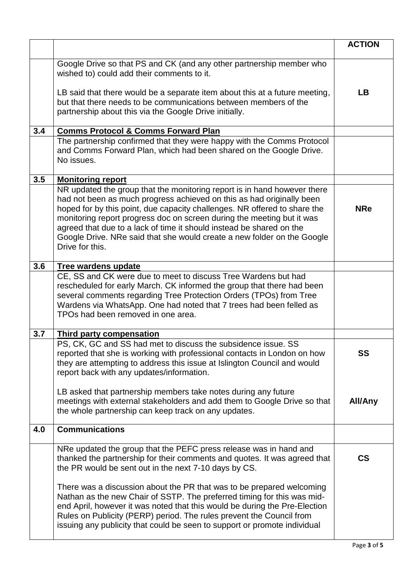|     |                                                                                                                                                                                                                                                                                                                                                                                                                                                                                | <b>ACTION</b> |
|-----|--------------------------------------------------------------------------------------------------------------------------------------------------------------------------------------------------------------------------------------------------------------------------------------------------------------------------------------------------------------------------------------------------------------------------------------------------------------------------------|---------------|
|     | Google Drive so that PS and CK (and any other partnership member who<br>wished to) could add their comments to it.<br>LB said that there would be a separate item about this at a future meeting,<br>but that there needs to be communications between members of the<br>partnership about this via the Google Drive initially.                                                                                                                                                | <b>LB</b>     |
| 3.4 | <b>Comms Protocol &amp; Comms Forward Plan</b>                                                                                                                                                                                                                                                                                                                                                                                                                                 |               |
|     | The partnership confirmed that they were happy with the Comms Protocol<br>and Comms Forward Plan, which had been shared on the Google Drive.<br>No issues.                                                                                                                                                                                                                                                                                                                     |               |
| 3.5 | <b>Monitoring report</b>                                                                                                                                                                                                                                                                                                                                                                                                                                                       |               |
|     | NR updated the group that the monitoring report is in hand however there<br>had not been as much progress achieved on this as had originally been<br>hoped for by this point, due capacity challenges. NR offered to share the<br>monitoring report progress doc on screen during the meeting but it was<br>agreed that due to a lack of time it should instead be shared on the<br>Google Drive. NRe said that she would create a new folder on the Google<br>Drive for this. | <b>NRe</b>    |
| 3.6 | <b>Tree wardens update</b>                                                                                                                                                                                                                                                                                                                                                                                                                                                     |               |
|     | CE, SS and CK were due to meet to discuss Tree Wardens but had<br>rescheduled for early March. CK informed the group that there had been<br>several comments regarding Tree Protection Orders (TPOs) from Tree<br>Wardens via WhatsApp. One had noted that 7 trees had been felled as<br>TPOs had been removed in one area.                                                                                                                                                    |               |
| 3.7 | <b>Third party compensation</b>                                                                                                                                                                                                                                                                                                                                                                                                                                                |               |
|     | PS, CK, GC and SS had met to discuss the subsidence issue. SS<br>reported that she is working with professional contacts in London on how<br>they are attempting to address this issue at Islington Council and would<br>report back with any updates/information.                                                                                                                                                                                                             | SS            |
|     | LB asked that partnership members take notes during any future<br>meetings with external stakeholders and add them to Google Drive so that<br>the whole partnership can keep track on any updates.                                                                                                                                                                                                                                                                             | All/Any       |
| 4.0 | <b>Communications</b>                                                                                                                                                                                                                                                                                                                                                                                                                                                          |               |
|     | NRe updated the group that the PEFC press release was in hand and<br>thanked the partnership for their comments and quotes. It was agreed that<br>the PR would be sent out in the next 7-10 days by CS.<br>There was a discussion about the PR that was to be prepared welcoming<br>Nathan as the new Chair of SSTP. The preferred timing for this was mid-<br>end April, however it was noted that this would be during the Pre-Election                                      | $\mathsf{CS}$ |
|     | Rules on Publicity (PERP) period. The rules prevent the Council from<br>issuing any publicity that could be seen to support or promote individual                                                                                                                                                                                                                                                                                                                              |               |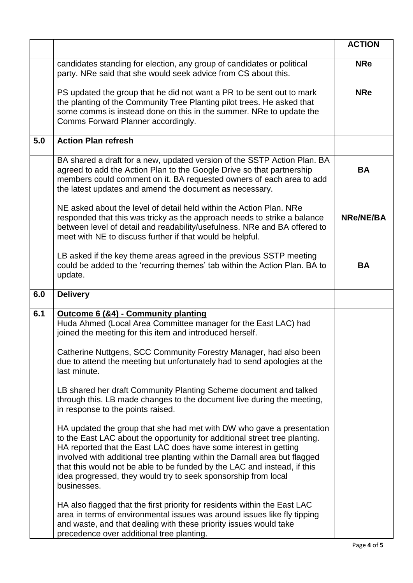|     |                                                                                                                                                                                                                                                                                                                                                                                                                                                                    | <b>ACTION</b>    |
|-----|--------------------------------------------------------------------------------------------------------------------------------------------------------------------------------------------------------------------------------------------------------------------------------------------------------------------------------------------------------------------------------------------------------------------------------------------------------------------|------------------|
|     | candidates standing for election, any group of candidates or political<br>party. NRe said that she would seek advice from CS about this.                                                                                                                                                                                                                                                                                                                           | <b>NRe</b>       |
|     | PS updated the group that he did not want a PR to be sent out to mark<br>the planting of the Community Tree Planting pilot trees. He asked that<br>some comms is instead done on this in the summer. NRe to update the<br>Comms Forward Planner accordingly.                                                                                                                                                                                                       | <b>NRe</b>       |
| 5.0 | <b>Action Plan refresh</b>                                                                                                                                                                                                                                                                                                                                                                                                                                         |                  |
|     | BA shared a draft for a new, updated version of the SSTP Action Plan. BA<br>agreed to add the Action Plan to the Google Drive so that partnership<br>members could comment on it. BA requested owners of each area to add<br>the latest updates and amend the document as necessary.                                                                                                                                                                               | <b>BA</b>        |
|     | NE asked about the level of detail held within the Action Plan. NRe<br>responded that this was tricky as the approach needs to strike a balance<br>between level of detail and readability/usefulness. NRe and BA offered to<br>meet with NE to discuss further if that would be helpful.                                                                                                                                                                          | <b>NRe/NE/BA</b> |
|     | LB asked if the key theme areas agreed in the previous SSTP meeting<br>could be added to the 'recurring themes' tab within the Action Plan. BA to<br>update.                                                                                                                                                                                                                                                                                                       | <b>BA</b>        |
| 6.0 | <b>Delivery</b>                                                                                                                                                                                                                                                                                                                                                                                                                                                    |                  |
| 6.1 | Outcome 6 (&4) - Community planting<br>Huda Ahmed (Local Area Committee manager for the East LAC) had<br>joined the meeting for this item and introduced herself.<br>Catherine Nuttgens, SCC Community Forestry Manager, had also been<br>due to attend the meeting but unfortunately had to send apologies at the<br>last minute.                                                                                                                                 |                  |
|     | LB shared her draft Community Planting Scheme document and talked<br>through this. LB made changes to the document live during the meeting,<br>in response to the points raised.                                                                                                                                                                                                                                                                                   |                  |
|     | HA updated the group that she had met with DW who gave a presentation<br>to the East LAC about the opportunity for additional street tree planting.<br>HA reported that the East LAC does have some interest in getting<br>involved with additional tree planting within the Darnall area but flagged<br>that this would not be able to be funded by the LAC and instead, if this<br>idea progressed, they would try to seek sponsorship from local<br>businesses. |                  |
|     | HA also flagged that the first priority for residents within the East LAC<br>area in terms of environmental issues was around issues like fly tipping<br>and waste, and that dealing with these priority issues would take<br>precedence over additional tree planting.                                                                                                                                                                                            |                  |